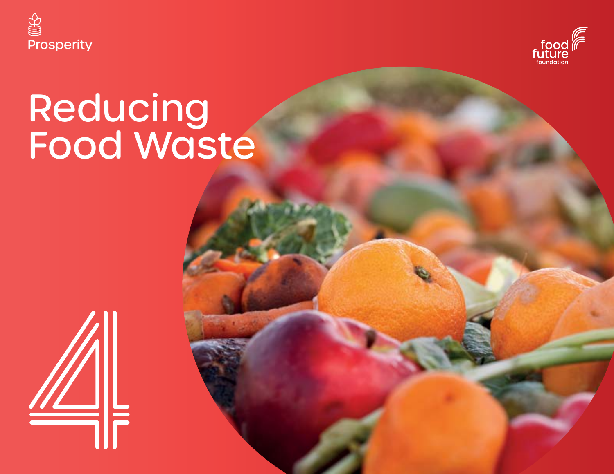



# Reducing Food Waste

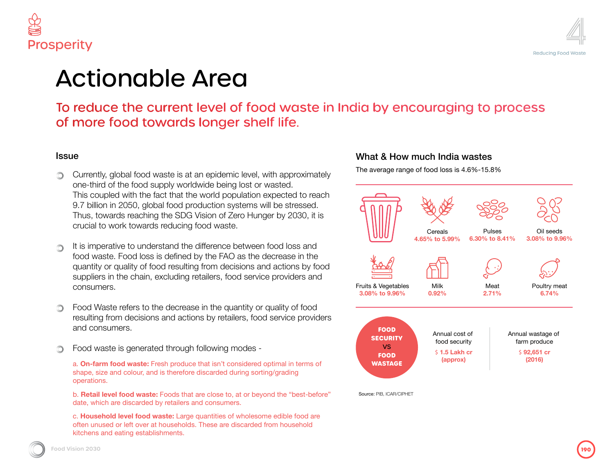

## Area

: level of food waste in India by encouraging to process s longer shelf life.

an epidemic level, with approximately Idwide being lost or wasted. he world population expected to reach roduction systems will be stressed.  $\frac{1}{2}$  Vision of Zero Hunger by 2030, it is food waste.

**Ex** difference between food loss and by the FAO as the decrease in the ng from decisions and actions by food retailers, food service providers and

se in the quantity or quality of food ons by retailers, food service providers

h following modes -

b. **c** that isn't considered optimal in terms of e discarded during sorting/grading

it are close to, at or beyond the "best-before" and consumers.

e quantities of wholesome edible food are Is. These are discarded from household

#### What & How much India wastes

The average range of food loss is 4.6%-15.8%



consumers.

and consumers.

kitti kitty and eating establishments.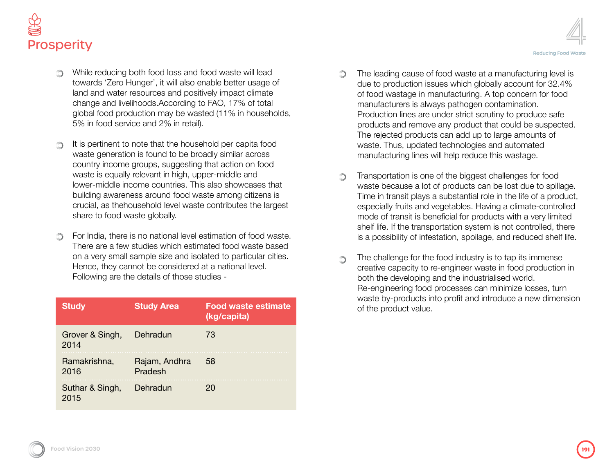

- While reducing both food loss and food waste will lead towards 'Zero Hunger', it will also enable better usage of land and water resources and positively impact climate change and livelihoods.According to FAO, 17% of total global food production may be wasted (11% in households, 5% in food service and 2% in retail).
- It is pertinent to note that the household per capita food waste generation is found to be broadly similar across country income groups, suggesting that action on food waste is equally relevant in high, upper-middle and lower-middle income countries. This also showcases that building awareness around food waste among citizens is crucial, as thehousehold level waste contributes the largest share to food waste globally.
- For India, there is no national level estimation of food waste. There are a few studies which estimated food waste based on a very small sample size and isolated to particular cities. Hence, they cannot be considered at a national level. Following are the details of those studies -

| <b>Study</b>            | <b>Study Area</b>        | <b>Food waste estimate</b><br>(kg/capita) |
|-------------------------|--------------------------|-------------------------------------------|
| Grover & Singh,<br>2014 | Dehradun                 | 73                                        |
| Ramakrishna,<br>2016    | Rajam, Andhra<br>Pradesh | 58                                        |
| Suthar & Singh,<br>2015 | Dehradun                 | 20                                        |

- The leading cause of food waste at a manufacturing level is ∩ due to production issues which globally account for 32.4% of food wastage in manufacturing. A top concern for food manufacturers is always pathogen contamination. Production lines are under strict scrutiny to produce safe products and remove any product that could be suspected. The rejected products can add up to large amounts of waste. Thus, updated technologies and automated manufacturing lines will help reduce this wastage.
- Transportation is one of the biggest challenges for food ∩ waste because a lot of products can be lost due to spillage. Time in transit plays a substantial role in the life of a product, especially fruits and vegetables. Having a climate-controlled mode of transit is beneficial for products with a very limited shelf life. If the transportation system is not controlled, there is a possibility of infestation, spoilage, and reduced shelf life.
- The challenge for the food industry is to tap its immense ∩ creative capacity to re-engineer waste in food production in both the developing and the industrialised world. Re-engineering food processes can minimize losses, turn waste by-products into profit and introduce a new dimension of the product value.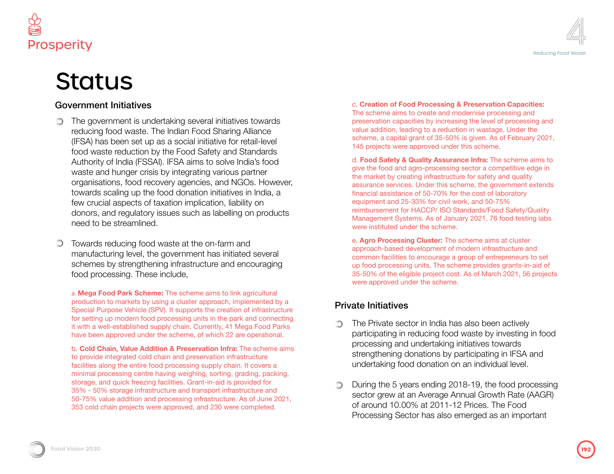

## **Status**

#### Government Initiatives

- The government is undertaking several initiatives towards reducing food waste. The Indian Food Sharing Alliance (IFSA) has been set up as a social initiative for retail-level food waste reduction by the Food Safety and Standards Authority of India (FSSAI). IFSA aims to solve India's food waste and hunger crisis by integrating various partner organisations, food recovery agencies, and NGOs. However, towards scaling up the food donation initiatives in India, a few crucial aspects of taxation implication, liability on donors, and regulatory issues such as labelling on products need to be streamlined.
- Towards reducing food waste at the on-farm and manufacturing level, the government has initiated several schemes by strengthening infrastructure and encouraging food processing. These include,

a. **Mega Food Park Scheme:** The scheme aims to link agricultural production to markets by using a cluster approach, implemented by a production to markets by using a cluster approach, implemented by a<br>Special Purpose Vehicle (SPV). It supports the creation of infrastructure **Private Initiatives** for setting up modern food processing units in the park and connecting it with a well-established supply chain. Currently, 41 Mega Food Parks have been approved under the scheme, of which 22 are operational.

> b. **Cold Chain, Value Addition & Preservation Infra:** The scheme aims to provide integrated cold chain and preservation infrastructure facilities along the entire food processing supply chain. It covers a minimal processing centre having weighing, sorting, grading, packing, storage, and quick freezing facilities. Grant-in-aid is provided for 35% - 50% storage infrastructure and transport infrastructure and 50-75% value addition and processing infrastructure. As of June 2021, 353 cold chain projects were approved, and 230 were completed.

#### c. **Creation of Food Processing & Preservation Capacities:** The scheme aims to create and modernise processing and preservation capacities by increasing the level of processing and value addition, leading to a reduction in wastage. Under the

scheme, a capital grant of 35-50% is given. As of February 2021, 145 projects were approved under this scheme.

d. **Food Safety & Quality Assurance Infra:** The scheme aims to give the food and agro-processing sector a competitive edge in the market by creating infrastructure for safety and quality assurance services. Under this scheme, the government extends financial assistance of 50-70% for the cost of laboratory equipment and 25-33% for civil work, and 50-75% reimbursement for HACCP/ ISO Standards/Food Safety/Quality Management Systems. As of January 2021, 76 food testing labs were instituted under the scheme.

e. **Agro Processing Cluster:** The scheme aims at cluster approach-based development of modern infrastructure and common facilities to encourage a group of entrepreneurs to set up food processing units. The scheme provides grants-in-aid of 35-50% of the eligible project cost. As of March 2021, 56 projects were approved under the scheme.

- The Private sector in India has also been actively participating in reducing food waste by investing in food processing and undertaking initiatives towards strengthening donations by participating in IFSA and undertaking food donation on an individual level.
- During the 5 years ending 2018-19, the food processing sector grew at an Average Annual Growth Rate (AAGR) of around 10.00% at 2011-12 Prices. The Food Processing Sector has also emerged as an important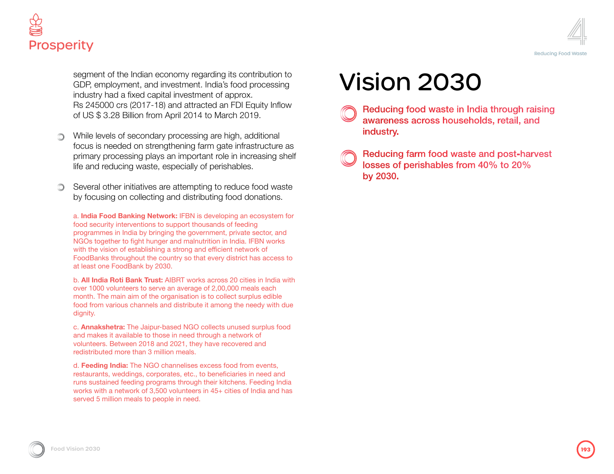



segment of the Indian economy regarding its contribution to GDP, employment, and investment. India's food processing industry had a fixed capital investment of approx. Rs 245000 crs (2017-18) and attracted an FDI Equity Inflow of US \$ 3.28 Billion from April 2014 to March 2019.

- While levels of secondary processing are high, additional focus is needed on strengthening farm gate infrastructure as primary processing plays an important role in increasing shelf life and reducing waste, especially of perishables.
- Several other initiatives are attempting to reduce food waste by focusing on collecting and distributing food donations.

a. **India Food Banking Network:** IFBN is developing an ecosystem for food security interventions to support thousands of feeding programmes in India by bringing the government, private sector, and NGOs together to fight hunger and malnutrition in India. IFBN works with the vision of establishing a strong and efficient network of FoodBanks throughout the country so that every district has access to at least one FoodBank by 2030.

b. **All India Roti Bank Trust:** AIBRT works across 20 cities in India with over 1000 volunteers to serve an average of 2,00,000 meals each month. The main aim of the organisation is to collect surplus edible food from various channels and distribute it among the needy with due dignity.

c. **Annakshetra:** The Jaipur-based NGO collects unused surplus food and makes it available to those in need through a network of volunteers. Between 2018 and 2021, they have recovered and redistributed more than 3 million meals.

d. **Feeding India:** The NGO channelises excess food from events, restaurants, weddings, corporates, etc., to beneficiaries in need and runs sustained feeding programs through their kitchens. Feeding India works with a network of 3,500 volunteers in 45+ cities of India and has served 5 million meals to people in need.

## Vision 2030

- Reducing food waste in India through raising awareness across households, retail, and industry.
- Reducing farm food waste and post-harvest losses of perishables from 40% to 20% by 2030.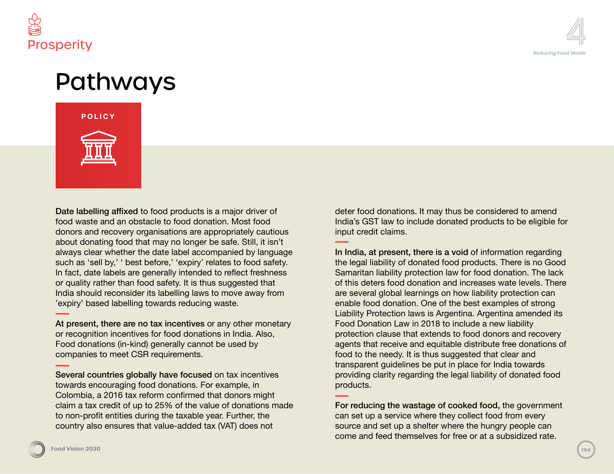



### Pathways

#### **POLICY**



Date labelling affixed to food products is a major driver of food waste and an obstacle to food donation. Most food donors and recovery organisations are appropriately cautious about donating food that may no longer be safe. Still, it isn't always clear whether the date label accompanied by language such as 'sell by,' ' best before,' 'expiry' relates to food safety. In fact, date labels are generally intended to reflect freshness or quality rather than food safety. It is thus suggested that India should reconsider its labelling laws to move away from 'expiry' based labelling towards reducing waste.

At present, there are no tax incentives or any other monetary or recognition incentives for food donations in India. Also, Food donations (in-kind) generally cannot be used by companies to meet CSR requirements.

Several countries globally have focused on tax incentives towards encouraging food donations. For example, in Colombia, a 2016 tax reform confirmed that donors might claim a tax credit of up to 25% of the value of donations made to non-profit entities during the taxable year. Further, the country also ensures that value-added tax (VAT) does not

deter food donations. It may thus be considered to amend India's GST law to include donated products to be eligible for input credit claims.

In India, at present, there is a void of information regarding the legal liability of donated food products. There is no Good Samaritan liability protection law for food donation. The lack of this deters food donation and increases wate levels. There are several global learnings on how liability protection can enable food donation. One of the best examples of strong Liability Protection laws is Argentina. Argentina amended its Food Donation Law in 2018 to include a new liability protection clause that extends to food donors and recovery agents that receive and equitable distribute free donations of food to the needy. It is thus suggested that clear and transparent guidelines be put in place for India towards providing clarity regarding the legal liability of donated food products.

For reducing the wastage of cooked food, the government can set up a service where they collect food from every source and set up a shelter where the hungry people can come and feed themselves for free or at a subsidized rate.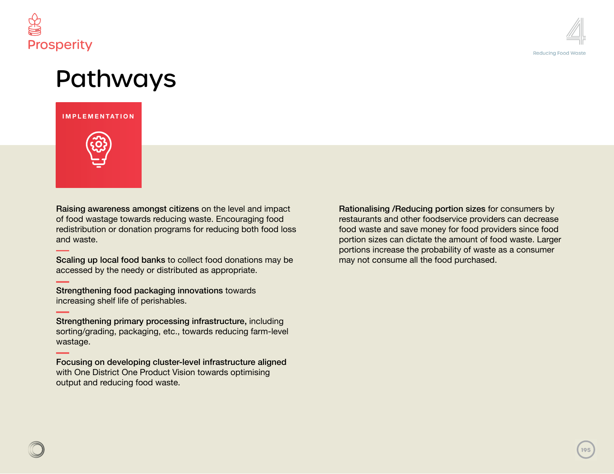



## Pathways

#### **INFRASTRUCTURE SUSTAINABILITY IMPLEMENTATION**



Raising awareness amongst citizens on the level and impact of food wastage towards reducing waste. Encouraging food redistribution or donation programs for reducing both food loss and waste.

Scaling up local food banks to collect food donations may be accessed by the needy or distributed as appropriate.

Strengthening food packaging innovations towards increasing shelf life of perishables.

Strengthening primary processing infrastructure, including sorting/grading, packaging, etc., towards reducing farm-level wastage.

Focusing on developing cluster-level infrastructure aligned with One District One Product Vision towards optimising output and reducing food waste.

Rationalising /Reducing portion sizes for consumers by restaurants and other foodservice providers can decrease food waste and save money for food providers since food portion sizes can dictate the amount of food waste. Larger portions increase the probability of waste as a consumer may not consume all the food purchased.